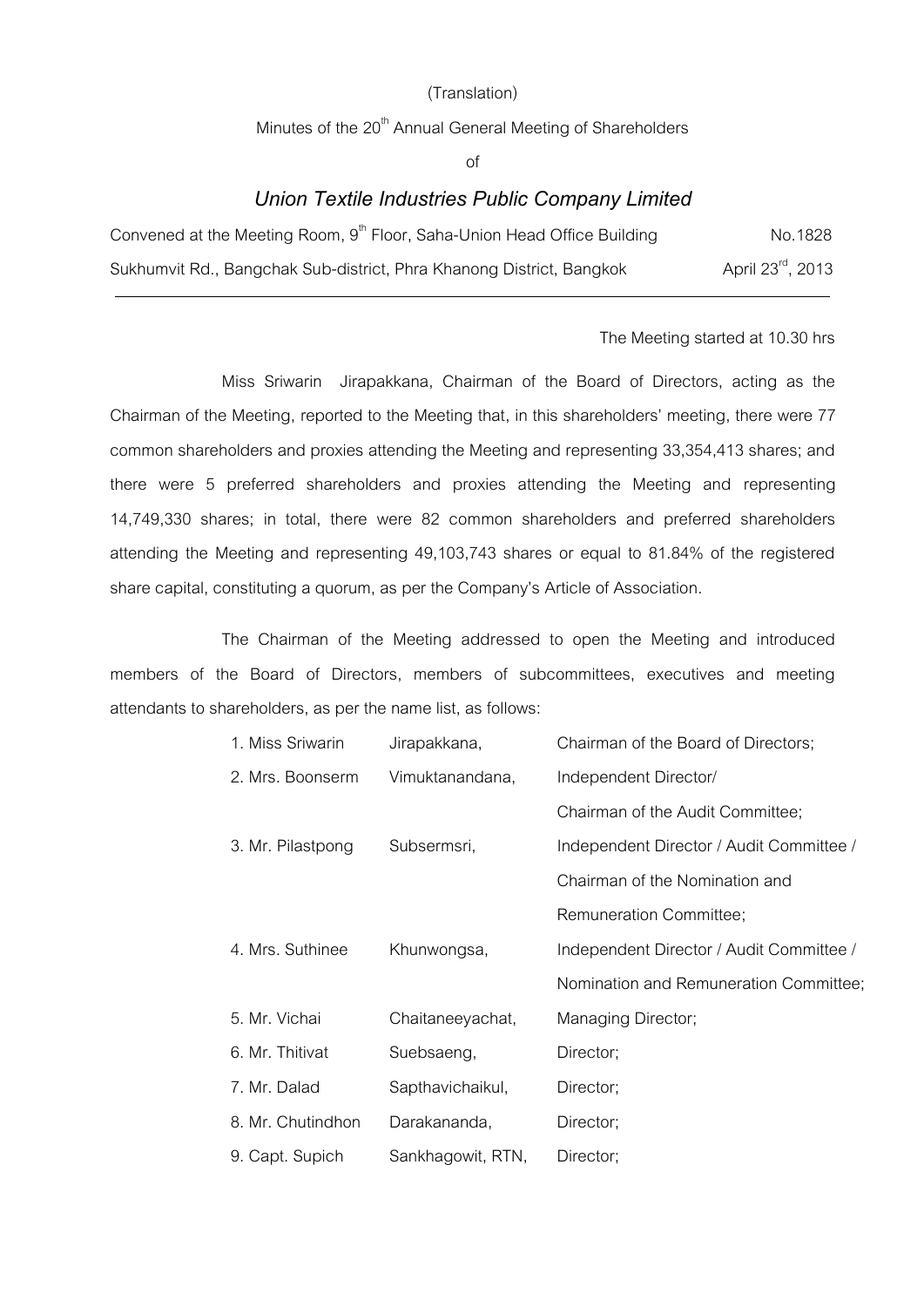### (Translation)

Minutes of the  $20<sup>th</sup>$  Annual General Meeting of Shareholders

of

### *Union Textile Industries Public Company Limited*

| Convened at the Meeting Room, 9 <sup>th</sup> Floor, Saha-Union Head Office Building | No.1828                       |
|--------------------------------------------------------------------------------------|-------------------------------|
| Sukhumvit Rd., Bangchak Sub-district, Phra Khanong District, Bangkok                 | April 23 <sup>rd</sup> , 2013 |

#### The Meeting started at 10.30 hrs

Miss Sriwarin Jirapakkana, Chairman of the Board of Directors, acting as the Chairman of the Meeting, reported to the Meeting that, in this shareholders' meeting, there were 77 common shareholders and proxies attending the Meeting and representing 33,354,413 shares; and there were 5 preferred shareholders and proxies attending the Meeting and representing 14,749,330 shares; in total, there were 82 common shareholders and preferred shareholders attending the Meeting and representing 49,103,743 shares or equal to 81.84% of the registered share capital, constituting a quorum, as per the Company's Article of Association.

The Chairman of the Meeting addressed to open the Meeting and introduced members of the Board of Directors, members of subcommittees, executives and meeting attendants to shareholders, as per the name list, as follows:

| 1. Miss Sriwarin  | Jirapakkana,      | Chairman of the Board of Directors;      |
|-------------------|-------------------|------------------------------------------|
| 2. Mrs. Boonserm  | Vimuktanandana,   | Independent Director/                    |
|                   |                   | Chairman of the Audit Committee;         |
| 3. Mr. Pilastpong | Subsermsri,       | Independent Director / Audit Committee / |
|                   |                   | Chairman of the Nomination and           |
|                   |                   | Remuneration Committee;                  |
| 4. Mrs. Suthinee  | Khunwongsa,       | Independent Director / Audit Committee / |
|                   |                   | Nomination and Remuneration Committee;   |
| 5. Mr. Vichai     | Chaitaneeyachat,  | Managing Director;                       |
| 6. Mr. Thitivat   | Suebsaeng,        | Director;                                |
| 7. Mr. Dalad      | Sapthavichaikul,  | Director;                                |
| 8. Mr. Chutindhon | Darakananda,      | Director;                                |
| 9. Capt. Supich   | Sankhagowit, RTN, | Director;                                |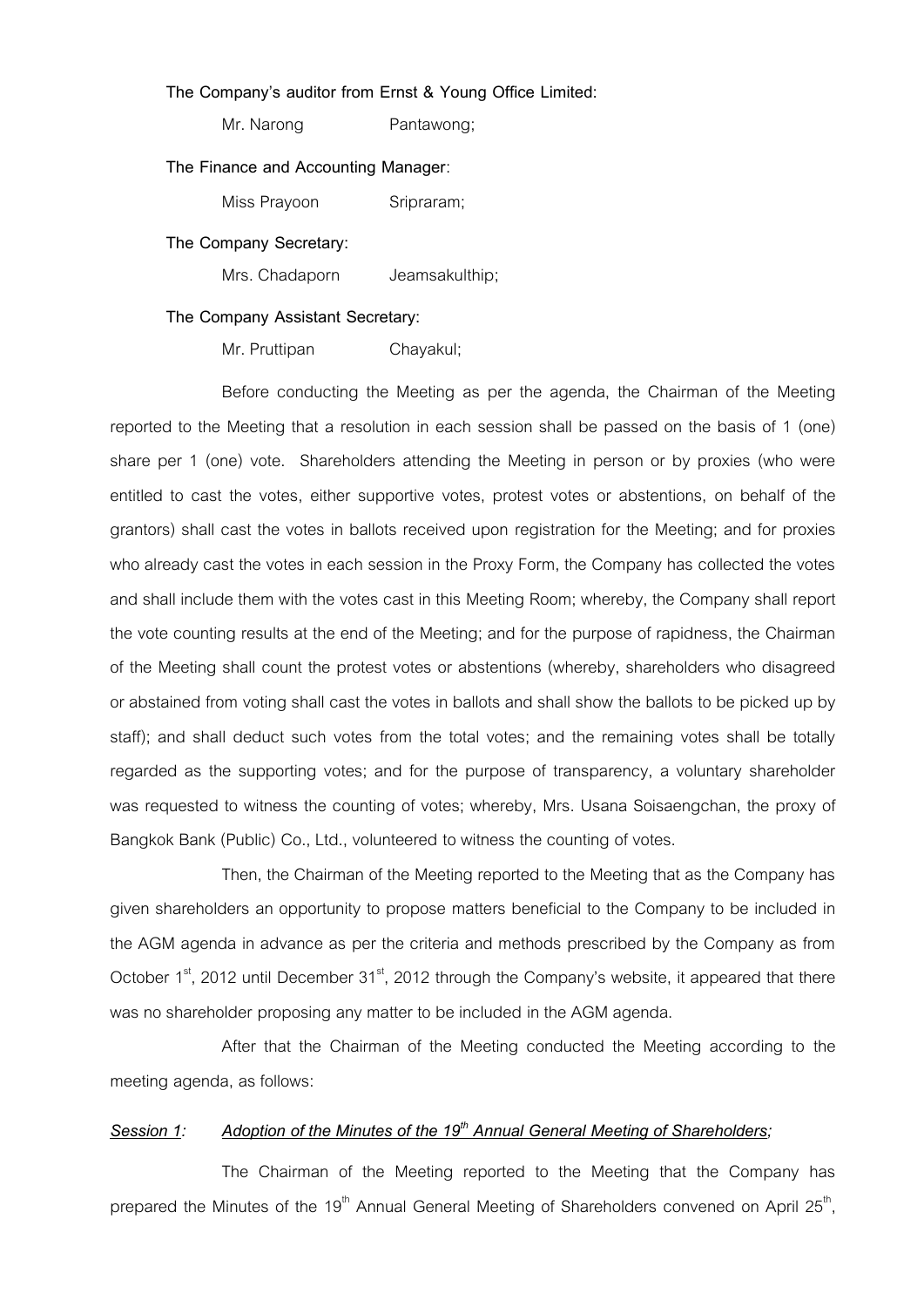### **The Company's auditor from Ernst & Young Office Limited:**

Mr. Narong Pantawong;

### **The Finance and Accounting Manager**:

Miss Prayoon Sripraram:

#### **The Company Secretary:**

Mrs. Chadaporn Jeamsakulthip;

### **The Company Assistant Secretary:**

Mr. Pruttipan Chayakul;

Before conducting the Meeting as per the agenda, the Chairman of the Meeting reported to the Meeting that a resolution in each session shall be passed on the basis of 1 (one) share per 1 (one) vote. Shareholders attending the Meeting in person or by proxies (who were entitled to cast the votes, either supportive votes, protest votes or abstentions, on behalf of the grantors) shall cast the votes in ballots received upon registration for the Meeting; and for proxies who already cast the votes in each session in the Proxy Form, the Company has collected the votes and shall include them with the votes cast in this Meeting Room; whereby, the Company shall report the vote counting results at the end of the Meeting; and for the purpose of rapidness, the Chairman of the Meeting shall count the protest votes or abstentions (whereby, shareholders who disagreed or abstained from voting shall cast the votes in ballots and shall show the ballots to be picked up by staff); and shall deduct such votes from the total votes; and the remaining votes shall be totally regarded as the supporting votes; and for the purpose of transparency, a voluntary shareholder was requested to witness the counting of votes; whereby, Mrs. Usana Soisaengchan, the proxy of Bangkok Bank (Public) Co., Ltd., volunteered to witness the counting of votes.

Then, the Chairman of the Meeting reported to the Meeting that as the Company has given shareholders an opportunity to propose matters beneficial to the Company to be included in the AGM agenda in advance as per the criteria and methods prescribed by the Company as from October  $1<sup>st</sup>$ , 2012 until December  $31<sup>st</sup>$ , 2012 through the Company's website, it appeared that there was no shareholder proposing any matter to be included in the AGM agenda.

After that the Chairman of the Meeting conducted the Meeting according to the meeting agenda, as follows:

### *Session 1: Adoption of the Minutes of the 19th Annual General Meeting of Shareholders;*

The Chairman of the Meeting reported to the Meeting that the Company has prepared the Minutes of the 19<sup>th</sup> Annual General Meeting of Shareholders convened on April 25<sup>th</sup>,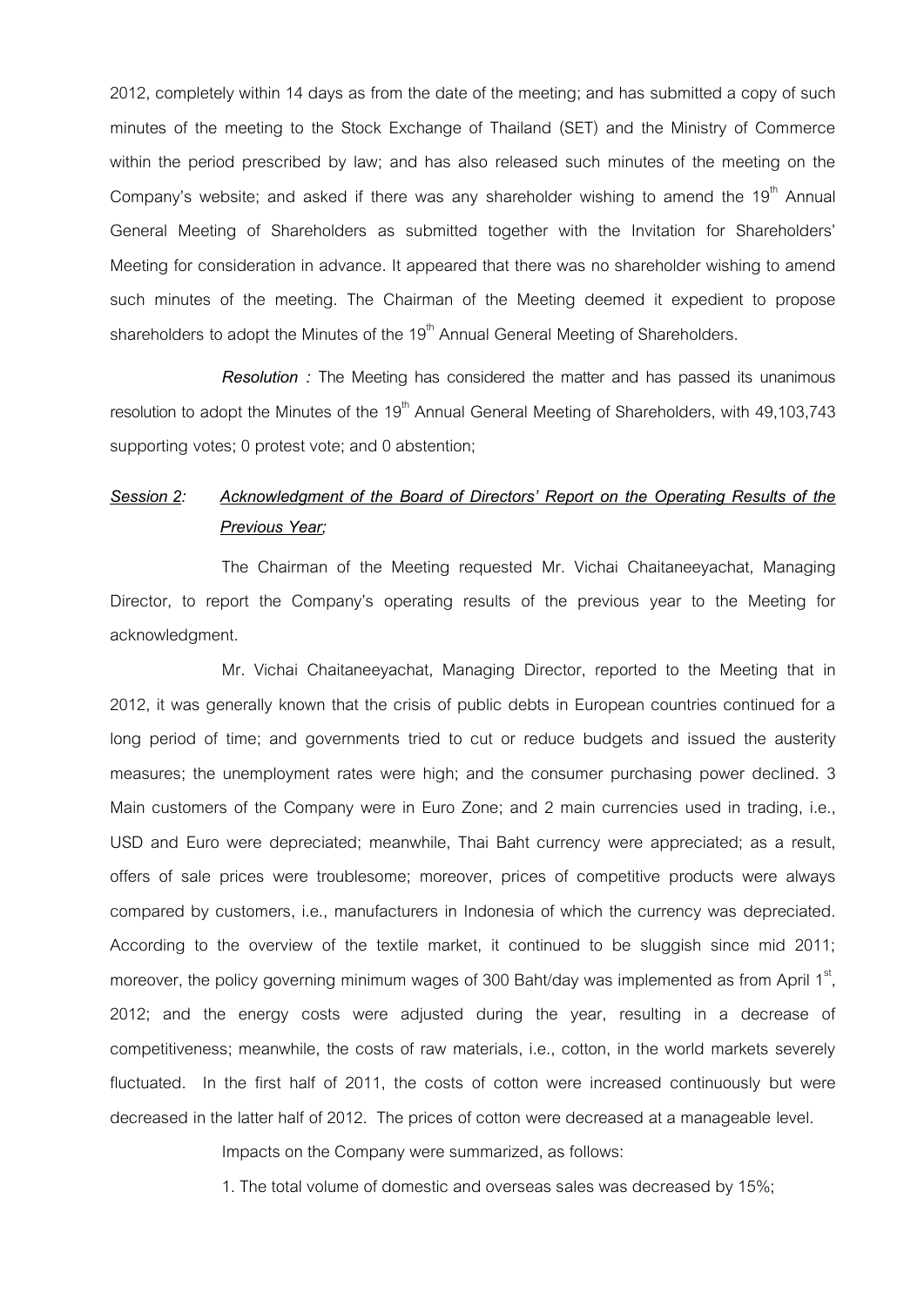2012, completely within 14 days as from the date of the meeting; and has submitted a copy of such minutes of the meeting to the Stock Exchange of Thailand (SET) and the Ministry of Commerce within the period prescribed by law; and has also released such minutes of the meeting on the Company's website; and asked if there was any shareholder wishing to amend the  $19<sup>th</sup>$  Annual General Meeting of Shareholders as submitted together with the Invitation for Shareholders' Meeting for consideration in advance. It appeared that there was no shareholder wishing to amend such minutes of the meeting. The Chairman of the Meeting deemed it expedient to propose shareholders to adopt the Minutes of the  $19<sup>th</sup>$  Annual General Meeting of Shareholders.

*Resolution :* The Meeting has considered the matter and has passed its unanimous resolution to adopt the Minutes of the 19<sup>th</sup> Annual General Meeting of Shareholders, with 49,103,743 supporting votes; 0 protest vote; and 0 abstention;

# *Session 2: Acknowledgment of the Board of Directors' Report on the Operating Results of the Previous Year;*

The Chairman of the Meeting requested Mr. Vichai Chaitaneeyachat, Managing Director, to report the Company's operating results of the previous year to the Meeting for acknowledgment.

Mr. Vichai Chaitaneeyachat, Managing Director, reported to the Meeting that in 2012, it was generally known that the crisis of public debts in European countries continued for a long period of time; and governments tried to cut or reduce budgets and issued the austerity measures; the unemployment rates were high; and the consumer purchasing power declined. 3 Main customers of the Company were in Euro Zone; and 2 main currencies used in trading, i.e., USD and Euro were depreciated; meanwhile, Thai Baht currency were appreciated; as a result, offers of sale prices were troublesome; moreover, prices of competitive products were always compared by customers, i.e., manufacturers in Indonesia of which the currency was depreciated. According to the overview of the textile market, it continued to be sluggish since mid 2011; moreover, the policy governing minimum wages of 300 Baht/day was implemented as from April 1 $^{\rm st}$ , 2012; and the energy costs were adjusted during the year, resulting in a decrease of competitiveness; meanwhile, the costs of raw materials, i.e., cotton, in the world markets severely fluctuated. In the first half of 2011, the costs of cotton were increased continuously but were decreased in the latter half of 2012. The prices of cotton were decreased at a manageable level.

Impacts on the Company were summarized, as follows:

1. The total volume of domestic and overseas sales was decreased by 15%;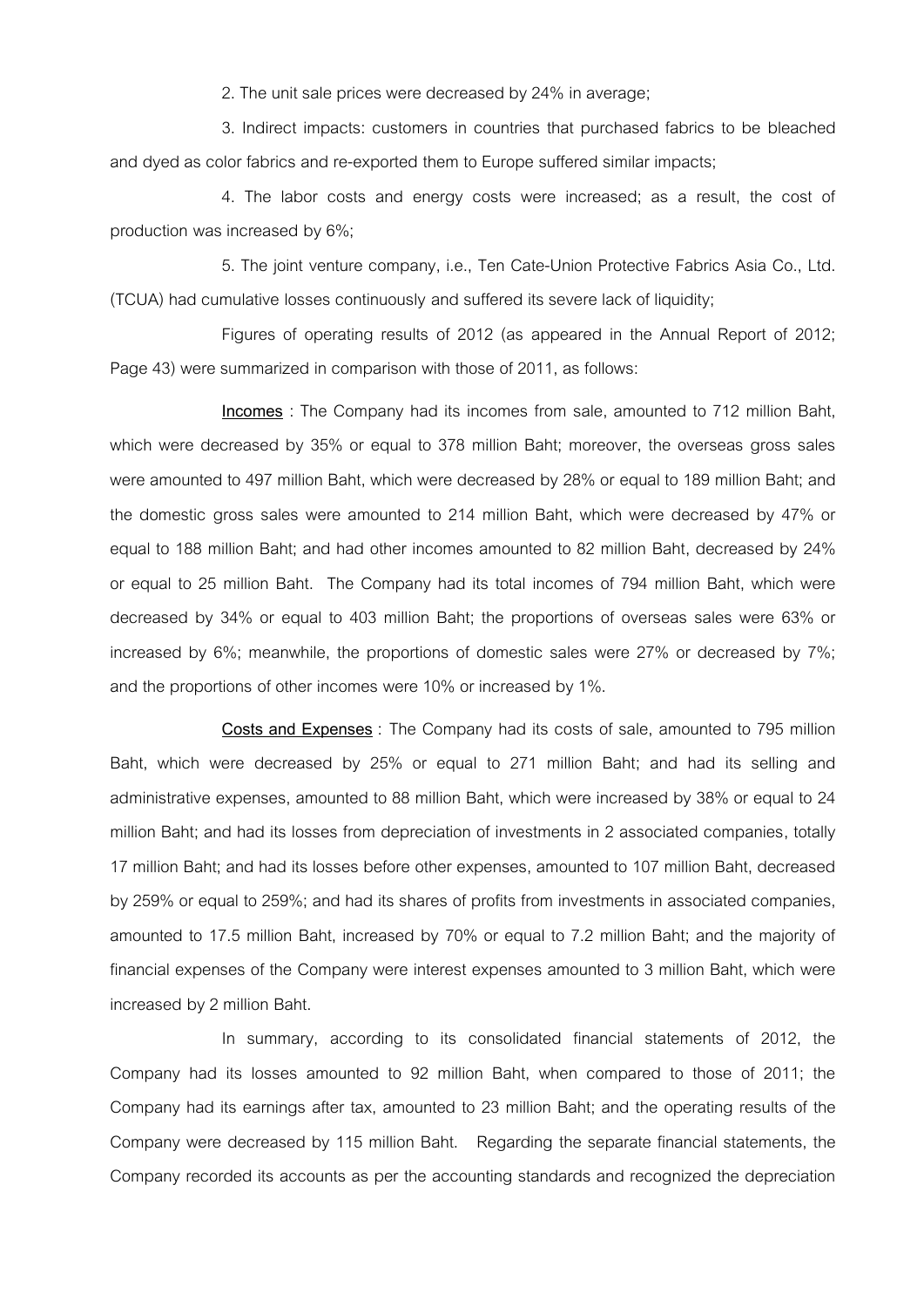2. The unit sale prices were decreased by 24% in average;

3. Indirect impacts: customers in countries that purchased fabrics to be bleached and dyed as color fabrics and re-exported them to Europe suffered similar impacts;

4. The labor costs and energy costs were increased; as a result, the cost of production was increased by 6%;

5. The joint venture company, i.e., Ten Cate-Union Protective Fabrics Asia Co., Ltd. (TCUA) had cumulative losses continuously and suffered its severe lack of liquidity;

Figures of operating results of 2012 (as appeared in the Annual Report of 2012; Page 43) were summarized in comparison with those of 2011, as follows:

**Incomes** : The Company had its incomes from sale, amounted to 712 million Baht, which were decreased by 35% or equal to 378 million Baht; moreover, the overseas gross sales were amounted to 497 million Baht, which were decreased by 28% or equal to 189 million Baht; and the domestic gross sales were amounted to 214 million Baht, which were decreased by 47% or equal to 188 million Baht; and had other incomes amounted to 82 million Baht, decreased by 24% or equal to 25 million Baht. The Company had its total incomes of 794 million Baht, which were decreased by 34% or equal to 403 million Baht; the proportions of overseas sales were 63% or increased by 6%; meanwhile, the proportions of domestic sales were 27% or decreased by 7%; and the proportions of other incomes were 10% or increased by 1%.

**Costs and Expenses** : The Company had its costs of sale, amounted to 795 million Baht, which were decreased by 25% or equal to 271 million Baht; and had its selling and administrative expenses, amounted to 88 million Baht, which were increased by 38% or equal to 24 million Baht; and had its losses from depreciation of investments in 2 associated companies, totally 17 million Baht; and had its losses before other expenses, amounted to 107 million Baht, decreased by 259% or equal to 259%; and had its shares of profits from investments in associated companies, amounted to 17.5 million Baht, increased by 70% or equal to 7.2 million Baht; and the majority of financial expenses of the Company were interest expenses amounted to 3 million Baht, which were increased by 2 million Baht.

In summary, according to its consolidated financial statements of 2012, the Company had its losses amounted to 92 million Baht, when compared to those of 2011; the Company had its earnings after tax, amounted to 23 million Baht; and the operating results of the Company were decreased by 115 million Baht. Regarding the separate financial statements, the Company recorded its accounts as per the accounting standards and recognized the depreciation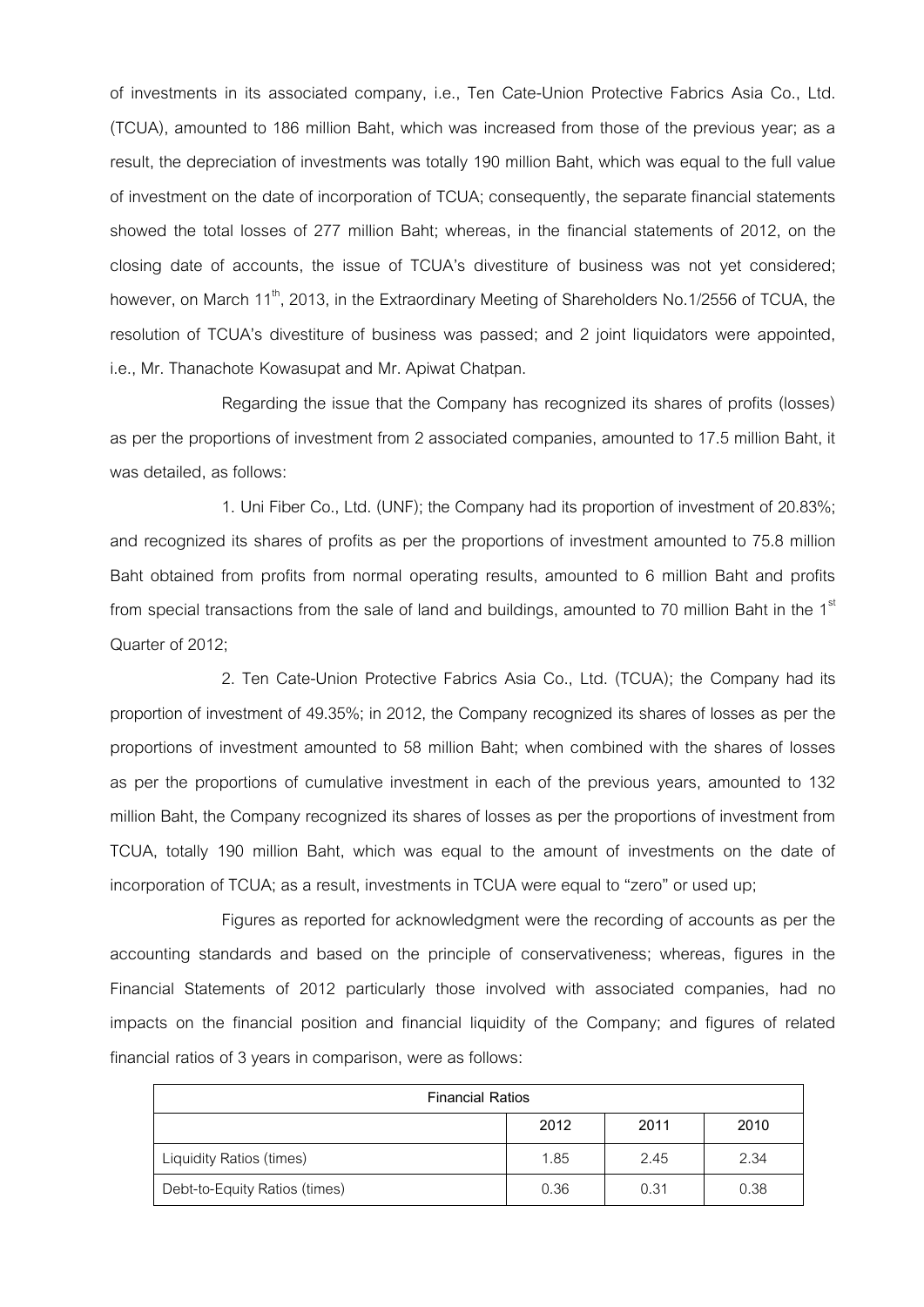of investments in its associated company, i.e., Ten Cate-Union Protective Fabrics Asia Co., Ltd. (TCUA), amounted to 186 million Baht, which was increased from those of the previous year; as a result, the depreciation of investments was totally 190 million Baht, which was equal to the full value of investment on the date of incorporation of TCUA; consequently, the separate financial statements showed the total losses of 277 million Baht; whereas, in the financial statements of 2012, on the closing date of accounts, the issue of TCUA's divestiture of business was not yet considered; however, on March 11<sup>th</sup>, 2013, in the Extraordinary Meeting of Shareholders No.1/2556 of TCUA, the resolution of TCUA's divestiture of business was passed; and 2 joint liquidators were appointed, i.e., Mr. Thanachote Kowasupat and Mr. Apiwat Chatpan.

Regarding the issue that the Company has recognized its shares of profits (losses) as per the proportions of investment from 2 associated companies, amounted to 17.5 million Baht, it was detailed, as follows:

1. Uni Fiber Co., Ltd. (UNF); the Company had its proportion of investment of 20.83%; and recognized its shares of profits as per the proportions of investment amounted to 75.8 million Baht obtained from profits from normal operating results, amounted to 6 million Baht and profits from special transactions from the sale of land and buildings, amounted to 70 million Baht in the  $1<sup>st</sup>$ Quarter of 2012;

2. Ten Cate-Union Protective Fabrics Asia Co., Ltd. (TCUA); the Company had its proportion of investment of 49.35%; in 2012, the Company recognized its shares of losses as per the proportions of investment amounted to 58 million Baht; when combined with the shares of losses as per the proportions of cumulative investment in each of the previous years, amounted to 132 million Baht, the Company recognized its shares of losses as per the proportions of investment from TCUA, totally 190 million Baht, which was equal to the amount of investments on the date of incorporation of TCUA; as a result, investments in TCUA were equal to "zero" or used up;

Figures as reported for acknowledgment were the recording of accounts as per the accounting standards and based on the principle of conservativeness; whereas, figures in the Financial Statements of 2012 particularly those involved with associated companies, had no impacts on the financial position and financial liquidity of the Company; and figures of related financial ratios of 3 years in comparison, were as follows:

| <b>Financial Ratios</b>       |      |      |      |  |
|-------------------------------|------|------|------|--|
|                               | 2012 | 2011 | 2010 |  |
| Liquidity Ratios (times)      | 1.85 | 2.45 | 2.34 |  |
| Debt-to-Equity Ratios (times) | 0.36 | 0.31 | 0.38 |  |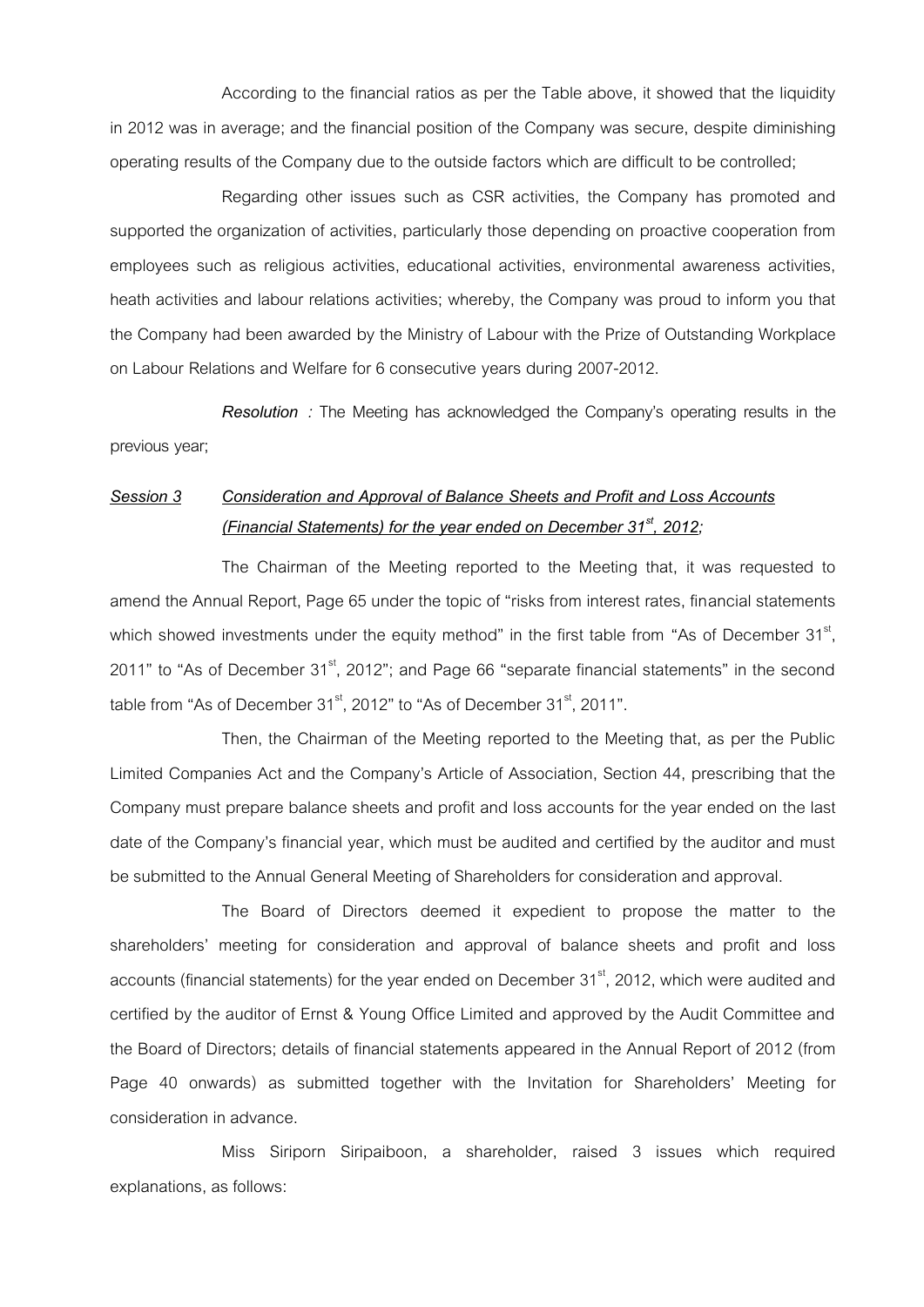According to the financial ratios as per the Table above, it showed that the liquidity in 2012 was in average; and the financial position of the Company was secure, despite diminishing operating results of the Company due to the outside factors which are difficult to be controlled;

Regarding other issues such as CSR activities, the Company has promoted and supported the organization of activities, particularly those depending on proactive cooperation from employees such as religious activities, educational activities, environmental awareness activities, heath activities and labour relations activities; whereby, the Company was proud to inform you that the Company had been awarded by the Ministry of Labour with the Prize of Outstanding Workplace on Labour Relations and Welfare for 6 consecutive years during 2007-2012.

*Resolution :* The Meeting has acknowledged the Company's operating results in the previous year;

# *Session 3 Consideration and Approval of Balance Sheets and Profit and Loss Accounts (Financial Statements) for the year ended on December 31st, 2012;*

The Chairman of the Meeting reported to the Meeting that, it was requested to amend the Annual Report, Page 65 under the topic of "risks from interest rates, financial statements which showed investments under the equity method" in the first table from "As of December 31<sup>st</sup>, 2011" to "As of December  $31<sup>st</sup>$ , 2012"; and Page 66 "separate financial statements" in the second table from "As of December  $31<sup>st</sup>$ , 2012" to "As of December  $31<sup>st</sup>$ , 2011".

Then, the Chairman of the Meeting reported to the Meeting that, as per the Public Limited Companies Act and the Company's Article of Association, Section 44, prescribing that the Company must prepare balance sheets and profit and loss accounts for the year ended on the last date of the Company's financial year, which must be audited and certified by the auditor and must be submitted to the Annual General Meeting of Shareholders for consideration and approval.

The Board of Directors deemed it expedient to propose the matter to the shareholders' meeting for consideration and approval of balance sheets and profit and loss accounts (financial statements) for the year ended on December 31<sup>st</sup>, 2012, which were audited and certified by the auditor of Ernst & Young Office Limited and approved by the Audit Committee and the Board of Directors; details of financial statements appeared in the Annual Report of 2012 (from Page 40 onwards) as submitted together with the Invitation for Shareholders' Meeting for consideration in advance.

Miss Siriporn Siripaiboon, a shareholder, raised 3 issues which required explanations, as follows: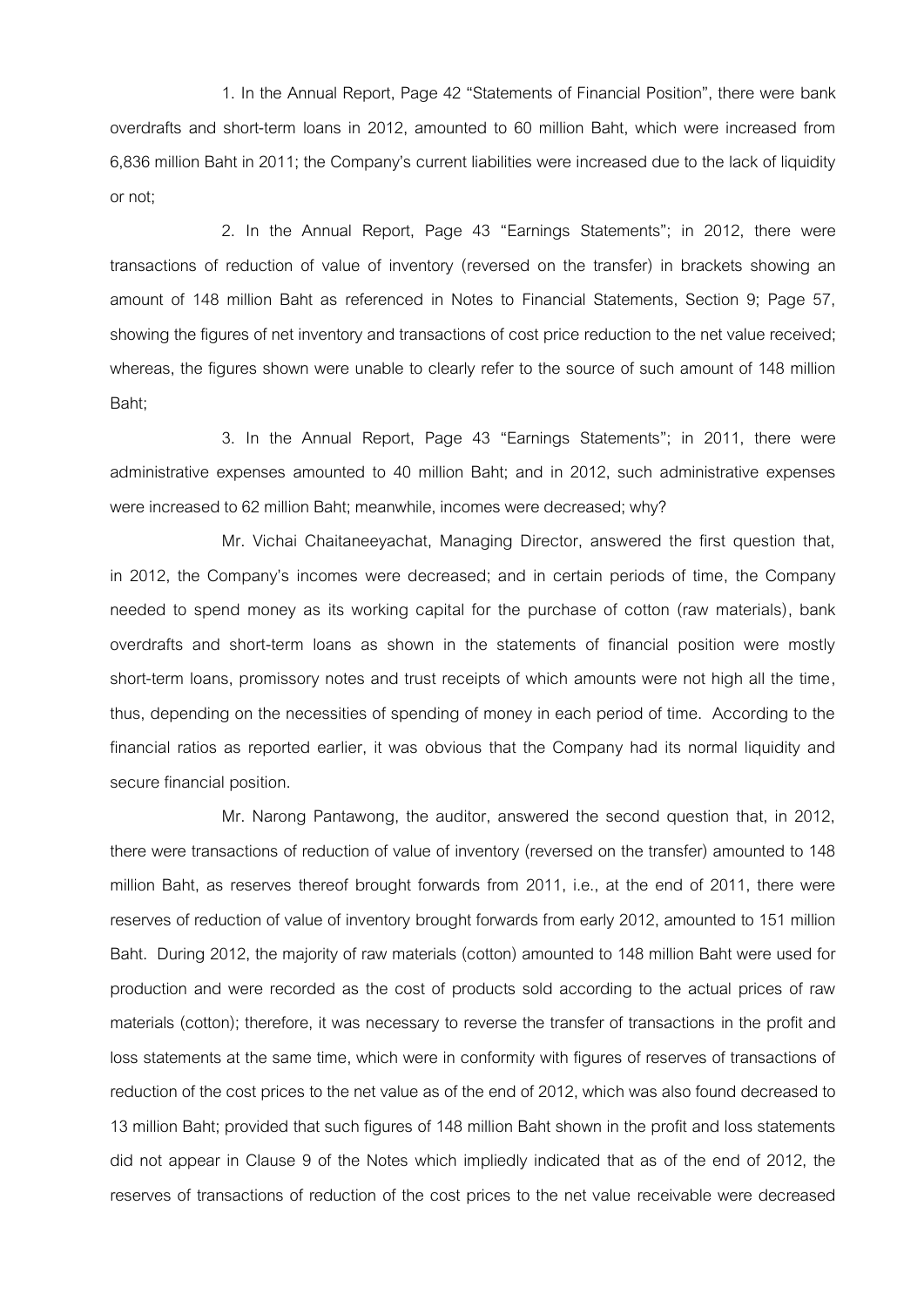1. In the Annual Report, Page 42 "Statements of Financial Position", there were bank overdrafts and short-term loans in 2012, amounted to 60 million Baht, which were increased from 6,836 million Baht in 2011; the Company's current liabilities were increased due to the lack of liquidity or not;

2. In the Annual Report, Page 43 "Earnings Statements"; in 2012, there were transactions of reduction of value of inventory (reversed on the transfer) in brackets showing an amount of 148 million Baht as referenced in Notes to Financial Statements, Section 9; Page 57, showing the figures of net inventory and transactions of cost price reduction to the net value received; whereas, the figures shown were unable to clearly refer to the source of such amount of 148 million Baht;

3. In the Annual Report, Page 43 "Earnings Statements"; in 2011, there were administrative expenses amounted to 40 million Baht; and in 2012, such administrative expenses were increased to 62 million Baht; meanwhile, incomes were decreased; why?

Mr. Vichai Chaitaneeyachat, Managing Director, answered the first question that, in 2012, the Company's incomes were decreased; and in certain periods of time, the Company needed to spend money as its working capital for the purchase of cotton (raw materials), bank overdrafts and short-term loans as shown in the statements of financial position were mostly short-term loans, promissory notes and trust receipts of which amounts were not high all the time, thus, depending on the necessities of spending of money in each period of time. According to the financial ratios as reported earlier, it was obvious that the Company had its normal liquidity and secure financial position.

Mr. Narong Pantawong, the auditor, answered the second question that, in 2012, there were transactions of reduction of value of inventory (reversed on the transfer) amounted to 148 million Baht, as reserves thereof brought forwards from 2011, i.e., at the end of 2011, there were reserves of reduction of value of inventory brought forwards from early 2012, amounted to 151 million Baht. During 2012, the majority of raw materials (cotton) amounted to 148 million Baht were used for production and were recorded as the cost of products sold according to the actual prices of raw materials (cotton); therefore, it was necessary to reverse the transfer of transactions in the profit and loss statements at the same time, which were in conformity with figures of reserves of transactions of reduction of the cost prices to the net value as of the end of 2012, which was also found decreased to 13 million Baht; provided that such figures of 148 million Baht shown in the profit and loss statements did not appear in Clause 9 of the Notes which impliedly indicated that as of the end of 2012, the reserves of transactions of reduction of the cost prices to the net value receivable were decreased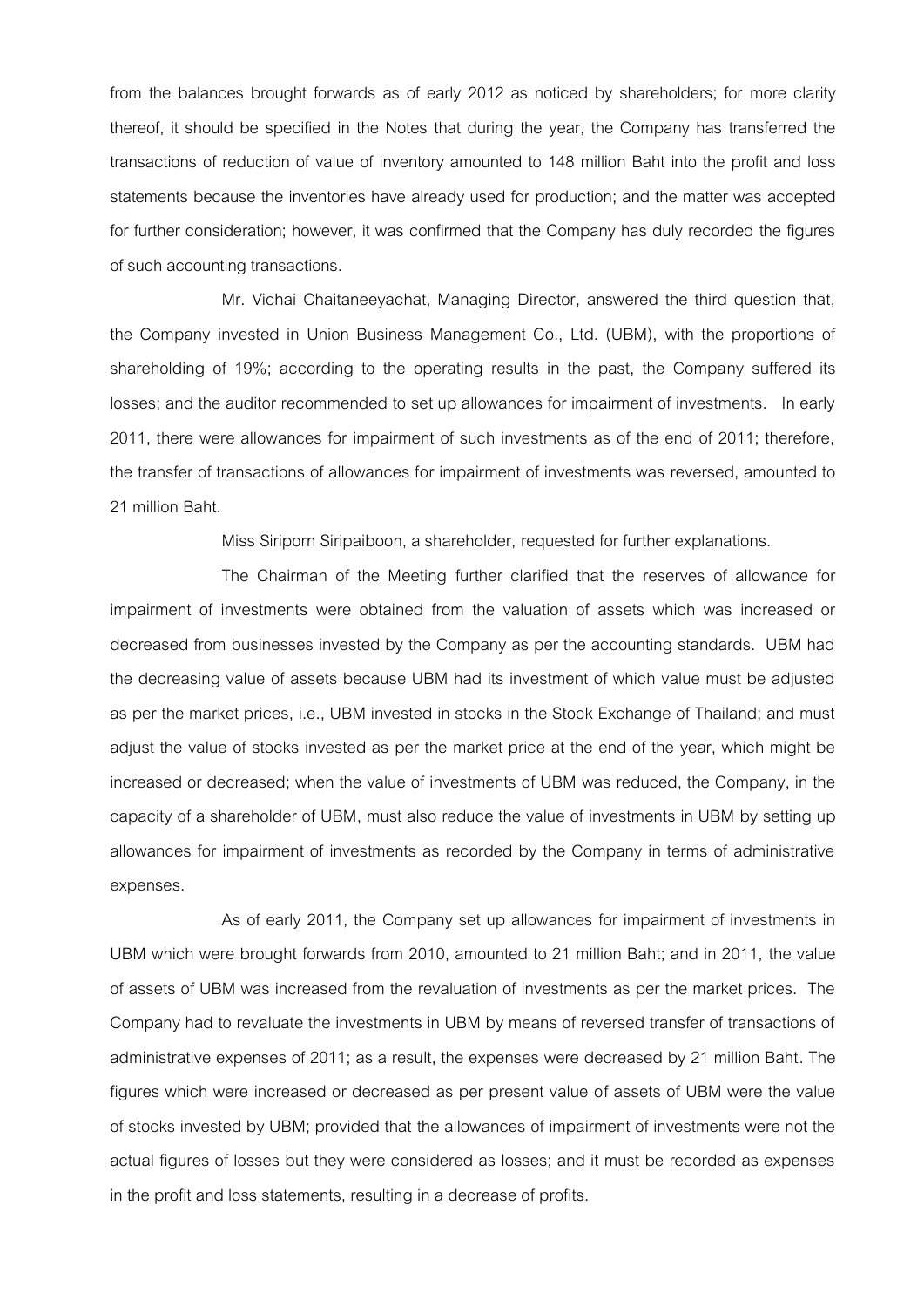from the balances brought forwards as of early 2012 as noticed by shareholders; for more clarity thereof, it should be specified in the Notes that during the year, the Company has transferred the transactions of reduction of value of inventory amounted to 148 million Baht into the profit and loss statements because the inventories have already used for production; and the matter was accepted for further consideration; however, it was confirmed that the Company has duly recorded the figures of such accounting transactions.

Mr. Vichai Chaitaneeyachat, Managing Director, answered the third question that, the Company invested in Union Business Management Co., Ltd. (UBM), with the proportions of shareholding of 19%; according to the operating results in the past, the Company suffered its losses; and the auditor recommended to set up allowances for impairment of investments. In early 2011, there were allowances for impairment of such investments as of the end of 2011; therefore, the transfer of transactions of allowances for impairment of investments was reversed, amounted to 21 million Baht.

Miss Siriporn Siripaiboon, a shareholder, requested for further explanations.

The Chairman of the Meeting further clarified that the reserves of allowance for impairment of investments were obtained from the valuation of assets which was increased or decreased from businesses invested by the Company as per the accounting standards. UBM had the decreasing value of assets because UBM had its investment of which value must be adjusted as per the market prices, i.e., UBM invested in stocks in the Stock Exchange of Thailand; and must adjust the value of stocks invested as per the market price at the end of the year, which might be increased or decreased; when the value of investments of UBM was reduced, the Company, in the capacity of a shareholder of UBM, must also reduce the value of investments in UBM by setting up allowances for impairment of investments as recorded by the Company in terms of administrative expenses.

As of early 2011, the Company set up allowances for impairment of investments in UBM which were brought forwards from 2010, amounted to 21 million Baht; and in 2011, the value of assets of UBM was increased from the revaluation of investments as per the market prices. The Company had to revaluate the investments in UBM by means of reversed transfer of transactions of administrative expenses of 2011; as a result, the expenses were decreased by 21 million Baht. The figures which were increased or decreased as per present value of assets of UBM were the value of stocks invested by UBM; provided that the allowances of impairment of investments were not the actual figures of losses but they were considered as losses; and it must be recorded as expenses in the profit and loss statements, resulting in a decrease of profits.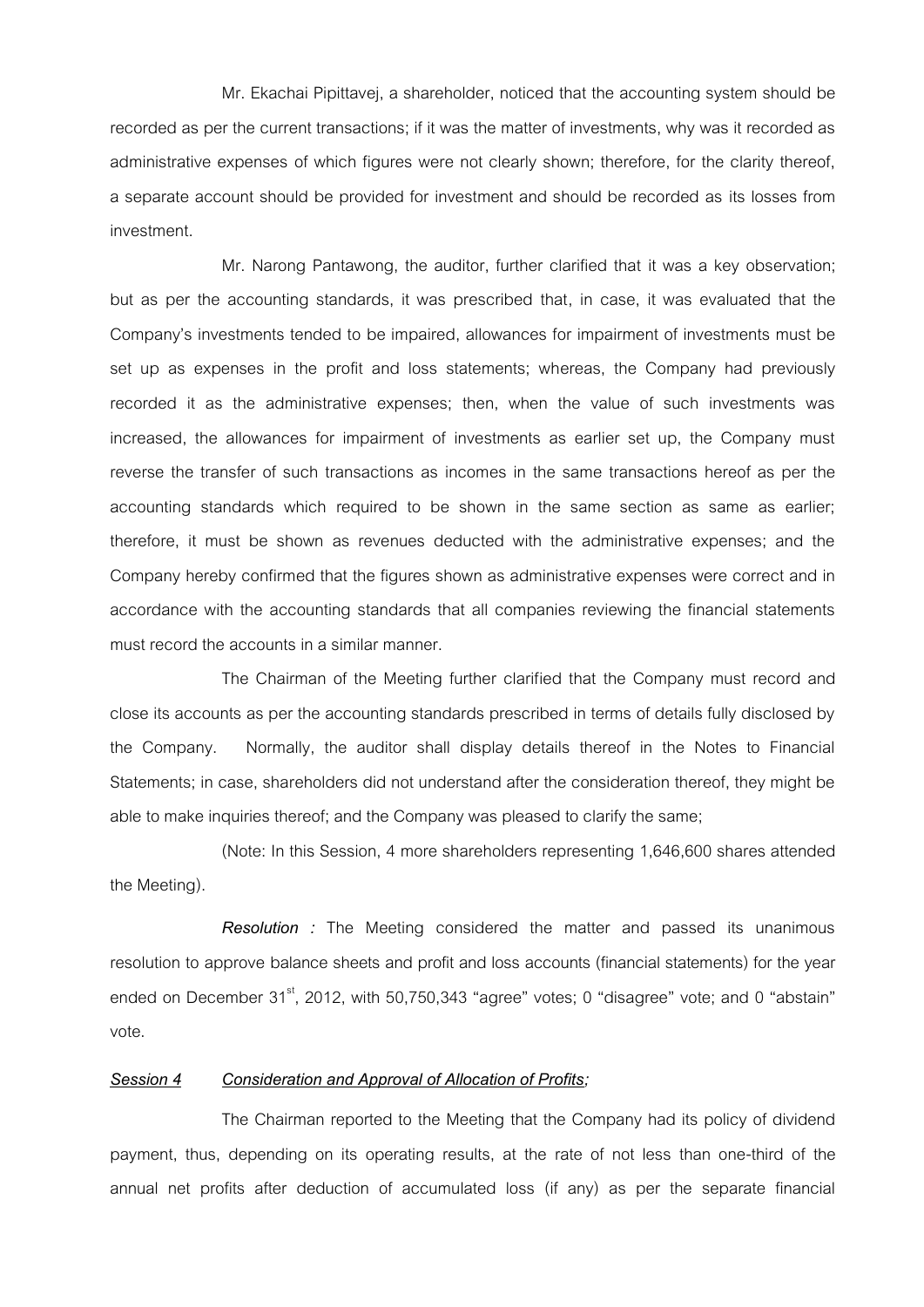Mr. Ekachai Pipittavej, a shareholder, noticed that the accounting system should be recorded as per the current transactions; if it was the matter of investments, why was it recorded as administrative expenses of which figures were not clearly shown; therefore, for the clarity thereof, a separate account should be provided for investment and should be recorded as its losses from investment.

Mr. Narong Pantawong, the auditor, further clarified that it was a key observation; but as per the accounting standards, it was prescribed that, in case, it was evaluated that the Company's investments tended to be impaired, allowances for impairment of investments must be set up as expenses in the profit and loss statements; whereas, the Company had previously recorded it as the administrative expenses; then, when the value of such investments was increased, the allowances for impairment of investments as earlier set up, the Company must reverse the transfer of such transactions as incomes in the same transactions hereof as per the accounting standards which required to be shown in the same section as same as earlier; therefore, it must be shown as revenues deducted with the administrative expenses; and the Company hereby confirmed that the figures shown as administrative expenses were correct and in accordance with the accounting standards that all companies reviewing the financial statements must record the accounts in a similar manner.

The Chairman of the Meeting further clarified that the Company must record and close its accounts as per the accounting standards prescribed in terms of details fully disclosed by the Company. Normally, the auditor shall display details thereof in the Notes to Financial Statements; in case, shareholders did not understand after the consideration thereof, they might be able to make inquiries thereof; and the Company was pleased to clarify the same;

(Note: In this Session, 4 more shareholders representing 1,646,600 shares attended the Meeting).

*Resolution :* The Meeting considered the matter and passed its unanimous resolution to approve balance sheets and profit and loss accounts (financial statements) for the year ended on December  $31<sup>st</sup>$ , 2012, with 50,750,343 "agree" votes; 0 "disagree" vote; and 0 "abstain" vote.

### *Session 4 Consideration and Approval of Allocation of Profits;*

The Chairman reported to the Meeting that the Company had its policy of dividend payment, thus, depending on its operating results, at the rate of not less than one-third of the annual net profits after deduction of accumulated loss (if any) as per the separate financial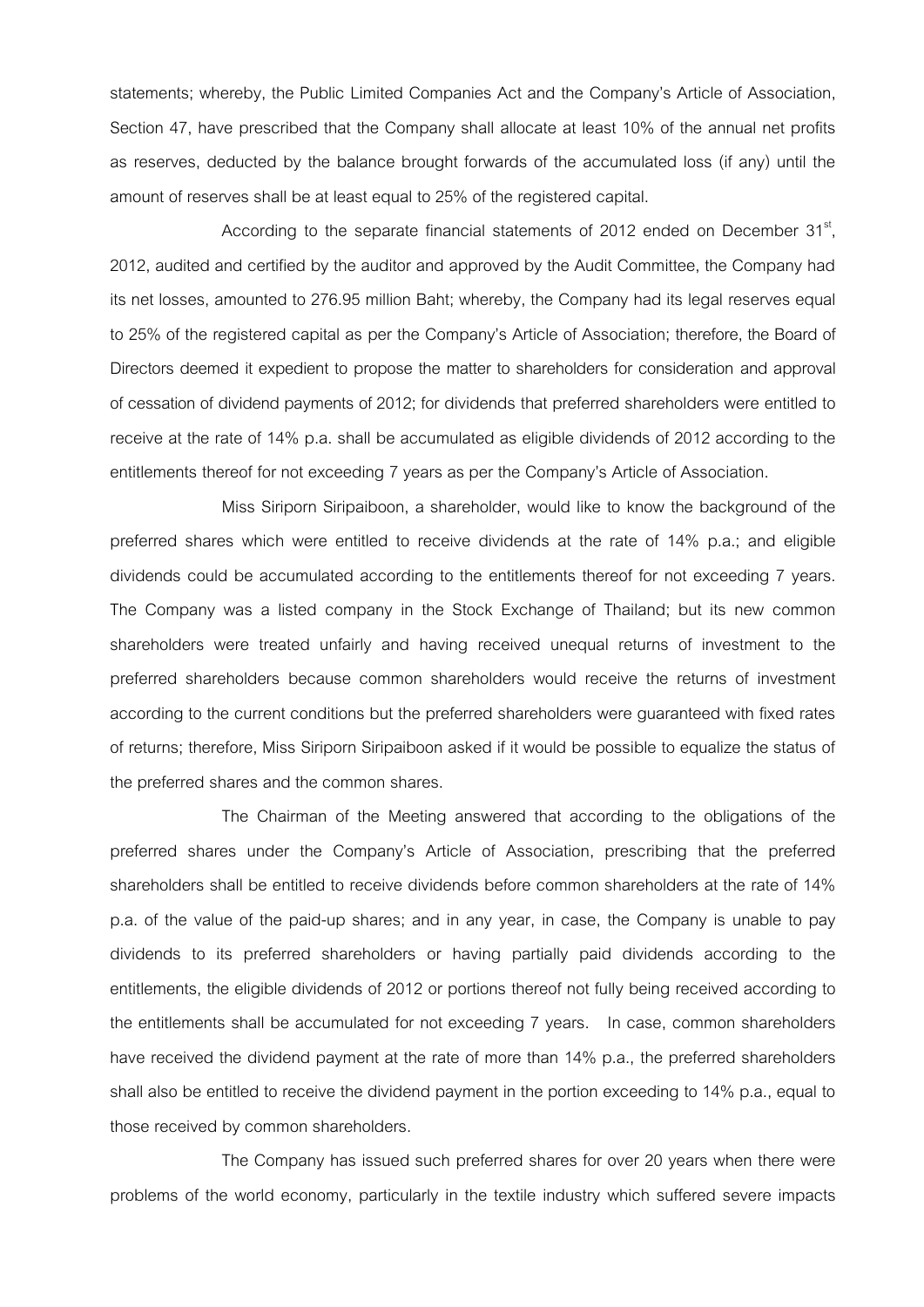statements; whereby, the Public Limited Companies Act and the Company's Article of Association, Section 47, have prescribed that the Company shall allocate at least 10% of the annual net profits as reserves, deducted by the balance brought forwards of the accumulated loss (if any) until the amount of reserves shall be at least equal to 25% of the registered capital.

According to the separate financial statements of 2012 ended on December  $31<sup>st</sup>$ , 2012, audited and certified by the auditor and approved by the Audit Committee, the Company had its net losses, amounted to 276.95 million Baht; whereby, the Company had its legal reserves equal to 25% of the registered capital as per the Company's Article of Association; therefore, the Board of Directors deemed it expedient to propose the matter to shareholders for consideration and approval of cessation of dividend payments of 2012; for dividends that preferred shareholders were entitled to receive at the rate of 14% p.a. shall be accumulated as eligible dividends of 2012 according to the entitlements thereof for not exceeding 7 years as per the Company's Article of Association.

Miss Siriporn Siripaiboon, a shareholder, would like to know the background of the preferred shares which were entitled to receive dividends at the rate of 14% p.a.; and eligible dividends could be accumulated according to the entitlements thereof for not exceeding 7 years. The Company was a listed company in the Stock Exchange of Thailand; but its new common shareholders were treated unfairly and having received unequal returns of investment to the preferred shareholders because common shareholders would receive the returns of investment according to the current conditions but the preferred shareholders were guaranteed with fixed rates of returns; therefore, Miss Siriporn Siripaiboon asked if it would be possible to equalize the status of the preferred shares and the common shares.

The Chairman of the Meeting answered that according to the obligations of the preferred shares under the Company's Article of Association, prescribing that the preferred shareholders shall be entitled to receive dividends before common shareholders at the rate of 14% p.a. of the value of the paid-up shares; and in any year, in case, the Company is unable to pay dividends to its preferred shareholders or having partially paid dividends according to the entitlements, the eligible dividends of 2012 or portions thereof not fully being received according to the entitlements shall be accumulated for not exceeding 7 years. In case, common shareholders have received the dividend payment at the rate of more than 14% p.a., the preferred shareholders shall also be entitled to receive the dividend payment in the portion exceeding to 14% p.a., equal to those received by common shareholders.

The Company has issued such preferred shares for over 20 years when there were problems of the world economy, particularly in the textile industry which suffered severe impacts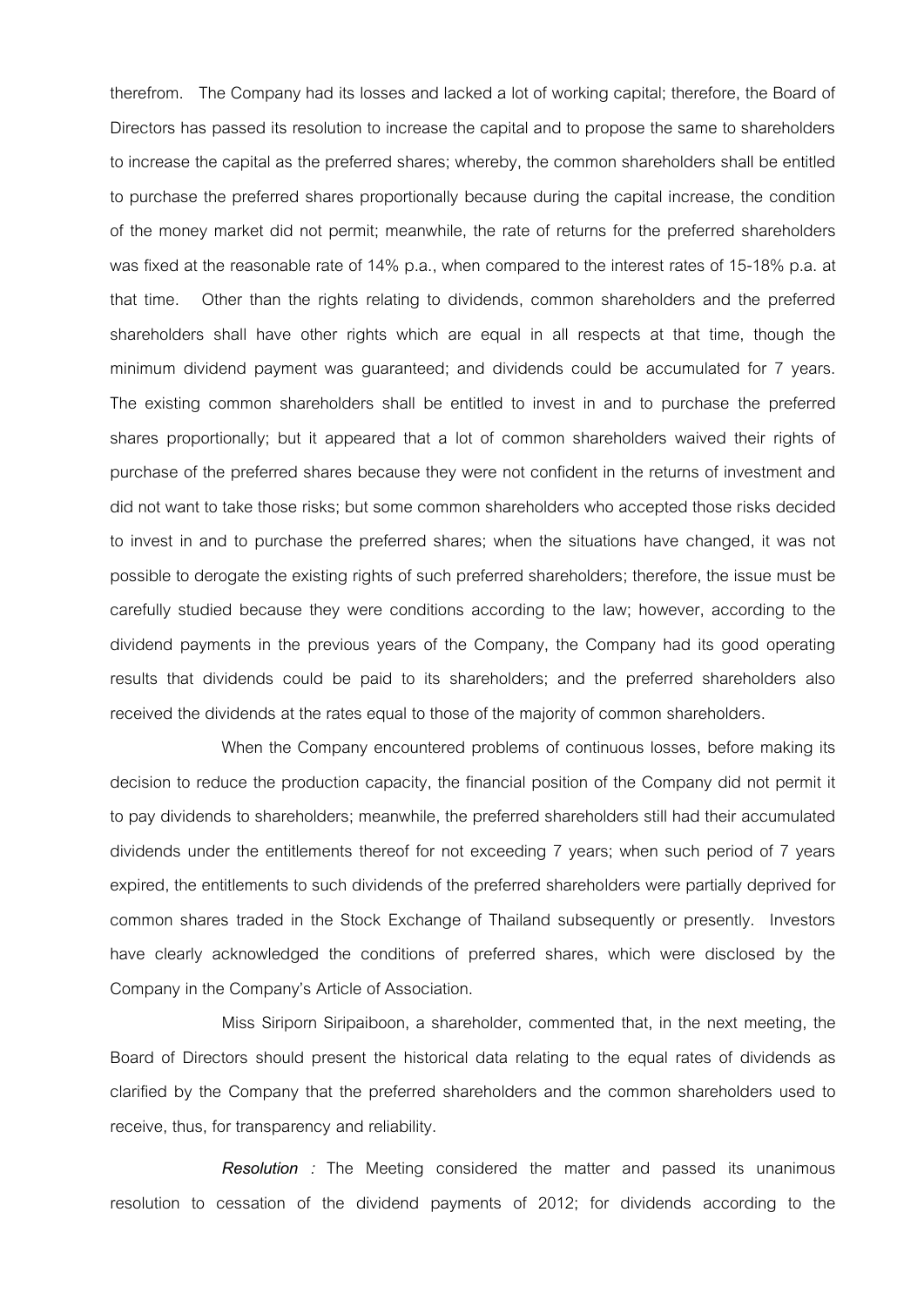therefrom. The Company had its losses and lacked a lot of working capital; therefore, the Board of Directors has passed its resolution to increase the capital and to propose the same to shareholders to increase the capital as the preferred shares; whereby, the common shareholders shall be entitled to purchase the preferred shares proportionally because during the capital increase, the condition of the money market did not permit; meanwhile, the rate of returns for the preferred shareholders was fixed at the reasonable rate of 14% p.a., when compared to the interest rates of 15-18% p.a. at that time. Other than the rights relating to dividends, common shareholders and the preferred shareholders shall have other rights which are equal in all respects at that time, though the minimum dividend payment was guaranteed; and dividends could be accumulated for 7 years. The existing common shareholders shall be entitled to invest in and to purchase the preferred shares proportionally; but it appeared that a lot of common shareholders waived their rights of purchase of the preferred shares because they were not confident in the returns of investment and did not want to take those risks; but some common shareholders who accepted those risks decided to invest in and to purchase the preferred shares; when the situations have changed, it was not possible to derogate the existing rights of such preferred shareholders; therefore, the issue must be carefully studied because they were conditions according to the law; however, according to the dividend payments in the previous years of the Company, the Company had its good operating results that dividends could be paid to its shareholders; and the preferred shareholders also received the dividends at the rates equal to those of the majority of common shareholders.

When the Company encountered problems of continuous losses, before making its decision to reduce the production capacity, the financial position of the Company did not permit it to pay dividends to shareholders; meanwhile, the preferred shareholders still had their accumulated dividends under the entitlements thereof for not exceeding 7 years; when such period of 7 years expired, the entitlements to such dividends of the preferred shareholders were partially deprived for common shares traded in the Stock Exchange of Thailand subsequently or presently. Investors have clearly acknowledged the conditions of preferred shares, which were disclosed by the Company in the Company's Article of Association.

Miss Siriporn Siripaiboon, a shareholder, commented that, in the next meeting, the Board of Directors should present the historical data relating to the equal rates of dividends as clarified by the Company that the preferred shareholders and the common shareholders used to receive, thus, for transparency and reliability.

*Resolution :* The Meeting considered the matter and passed its unanimous resolution to cessation of the dividend payments of 2012; for dividends according to the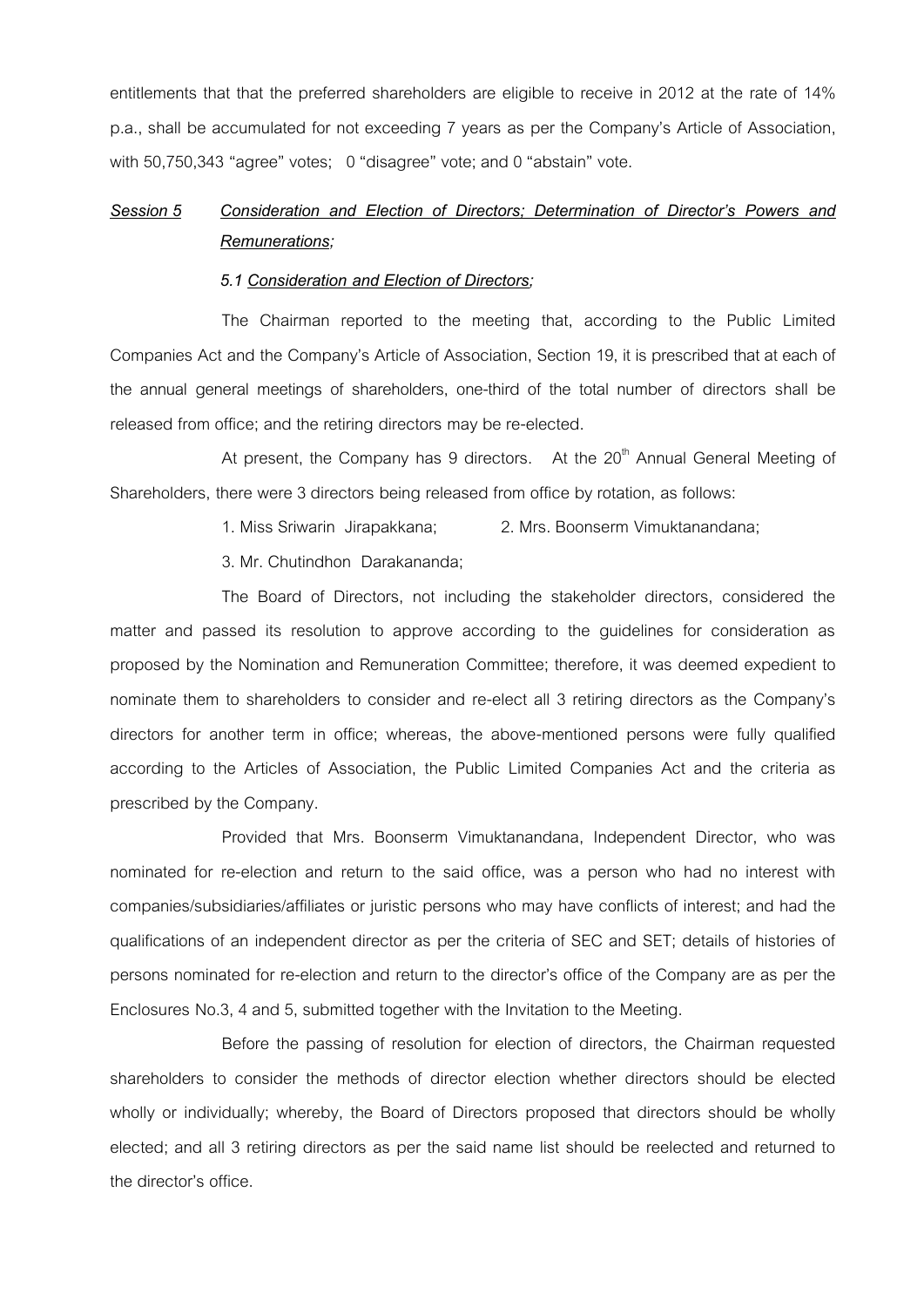entitlements that that the preferred shareholders are eligible to receive in 2012 at the rate of 14% p.a., shall be accumulated for not exceeding 7 years as per the Company's Article of Association, with 50,750,343 "agree" votes; 0 "disagree" vote; and 0 "abstain" vote.

### *Session 5 Consideration and Election of Directors; Determination of Director's Powers and Remunerations;*

#### *5.1 Consideration and Election of Directors;*

The Chairman reported to the meeting that, according to the Public Limited Companies Act and the Company's Article of Association, Section 19, it is prescribed that at each of the annual general meetings of shareholders, one-third of the total number of directors shall be released from office; and the retiring directors may be re-elected.

At present, the Company has 9 directors. At the  $20<sup>th</sup>$  Annual General Meeting of Shareholders, there were 3 directors being released from office by rotation, as follows:

1. Miss Sriwarin Jirapakkana; 2. Mrs. Boonserm Vimuktanandana;

3. Mr. Chutindhon Darakananda;

The Board of Directors, not including the stakeholder directors, considered the matter and passed its resolution to approve according to the guidelines for consideration as proposed by the Nomination and Remuneration Committee; therefore, it was deemed expedient to nominate them to shareholders to consider and re-elect all 3 retiring directors as the Company's directors for another term in office; whereas, the above-mentioned persons were fully qualified according to the Articles of Association, the Public Limited Companies Act and the criteria as prescribed by the Company.

Provided that Mrs. Boonserm Vimuktanandana, Independent Director, who was nominated for re-election and return to the said office, was a person who had no interest with companies/subsidiaries/affiliates or juristic persons who may have conflicts of interest; and had the qualifications of an independent director as per the criteria of SEC and SET; details of histories of persons nominated for re-election and return to the director's office of the Company are as per the Enclosures No.3, 4 and 5, submitted together with the Invitation to the Meeting.

Before the passing of resolution for election of directors, the Chairman requested shareholders to consider the methods of director election whether directors should be elected wholly or individually; whereby, the Board of Directors proposed that directors should be wholly elected; and all 3 retiring directors as per the said name list should be reelected and returned to the director's office.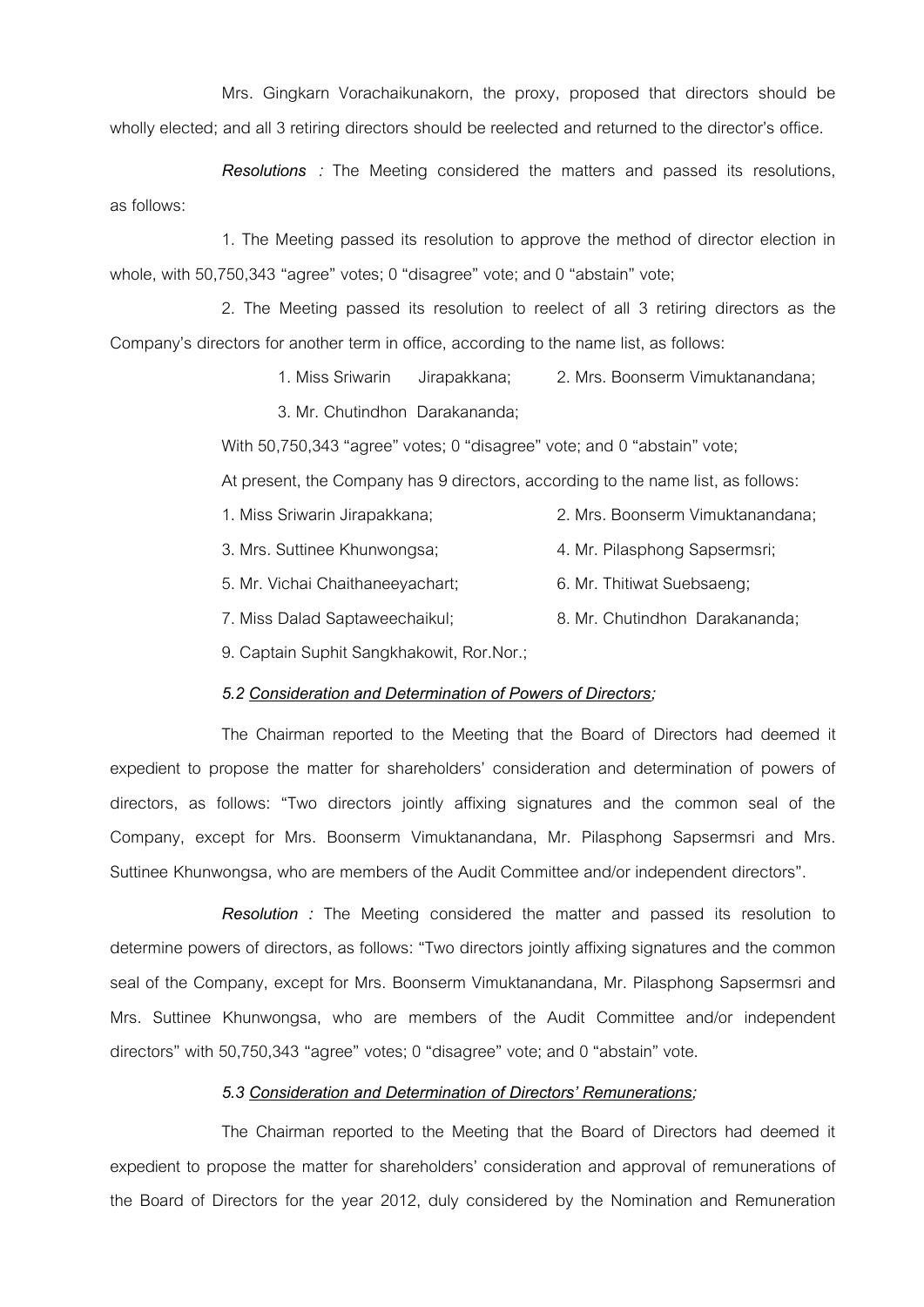Mrs. Gingkarn Vorachaikunakorn, the proxy, proposed that directors should be wholly elected; and all 3 retiring directors should be reelected and returned to the director's office.

*Resolutions :* The Meeting considered the matters and passed its resolutions, as follows:

1. The Meeting passed its resolution to approve the method of director election in whole, with 50,750,343 "agree" votes; 0 "disagree" vote; and 0 "abstain" vote;

2. The Meeting passed its resolution to reelect of all 3 retiring directors as the Company's directors for another term in office, according to the name list, as follows:

1. Miss Sriwarin Jirapakkana; 2. Mrs. Boonserm Vimuktanandana;

3. Mr. Chutindhon Darakananda;

With 50,750,343 "agree" votes; 0 "disagree" vote; and 0 "abstain" vote;

At present, the Company has 9 directors, according to the name list, as follows:

- 1. Miss SriwarinJirapakkana; 2. Mrs. Boonserm Vimuktanandana;
- 3. Mrs. Suttinee Khunwongsa; 4. Mr. Pilasphong Sapsermsri;
- 5. Mr. Vichai Chaithaneeyachart; 6. Mr. Thitiwat Suebsaeng;
- 7. Miss Dalad Saptaweechaikul; 8. Mr. Chutindhon Darakananda;

9. Captain Suphit Sangkhakowit, Ror.Nor.;

### *5.2 Consideration and Determination of Powers of Directors;*

The Chairman reported to the Meeting that the Board of Directors had deemed it expedient to propose the matter for shareholders' consideration and determination of powers of directors, as follows: "Two directors jointly affixing signatures and the common seal of the Company, except for Mrs. Boonserm Vimuktanandana, Mr. Pilasphong Sapsermsri and Mrs. Suttinee Khunwongsa, who are members of the Audit Committee and/or independent directors".

*Resolution :* The Meeting considered the matter and passed its resolution to determine powers of directors, as follows: "Two directors jointly affixing signatures and the common seal of the Company, except for Mrs. Boonserm Vimuktanandana, Mr. Pilasphong Sapsermsri and Mrs. Suttinee Khunwongsa, who are members of the Audit Committee and/or independent directors" with 50,750,343 "agree" votes; 0 "disagree" vote; and 0 "abstain" vote.

### *5.3 Consideration and Determination of Directors' Remunerations;*

The Chairman reported to the Meeting that the Board of Directors had deemed it expedient to propose the matter for shareholders' consideration and approval of remunerations of the Board of Directors for the year 2012, duly considered by the Nomination and Remuneration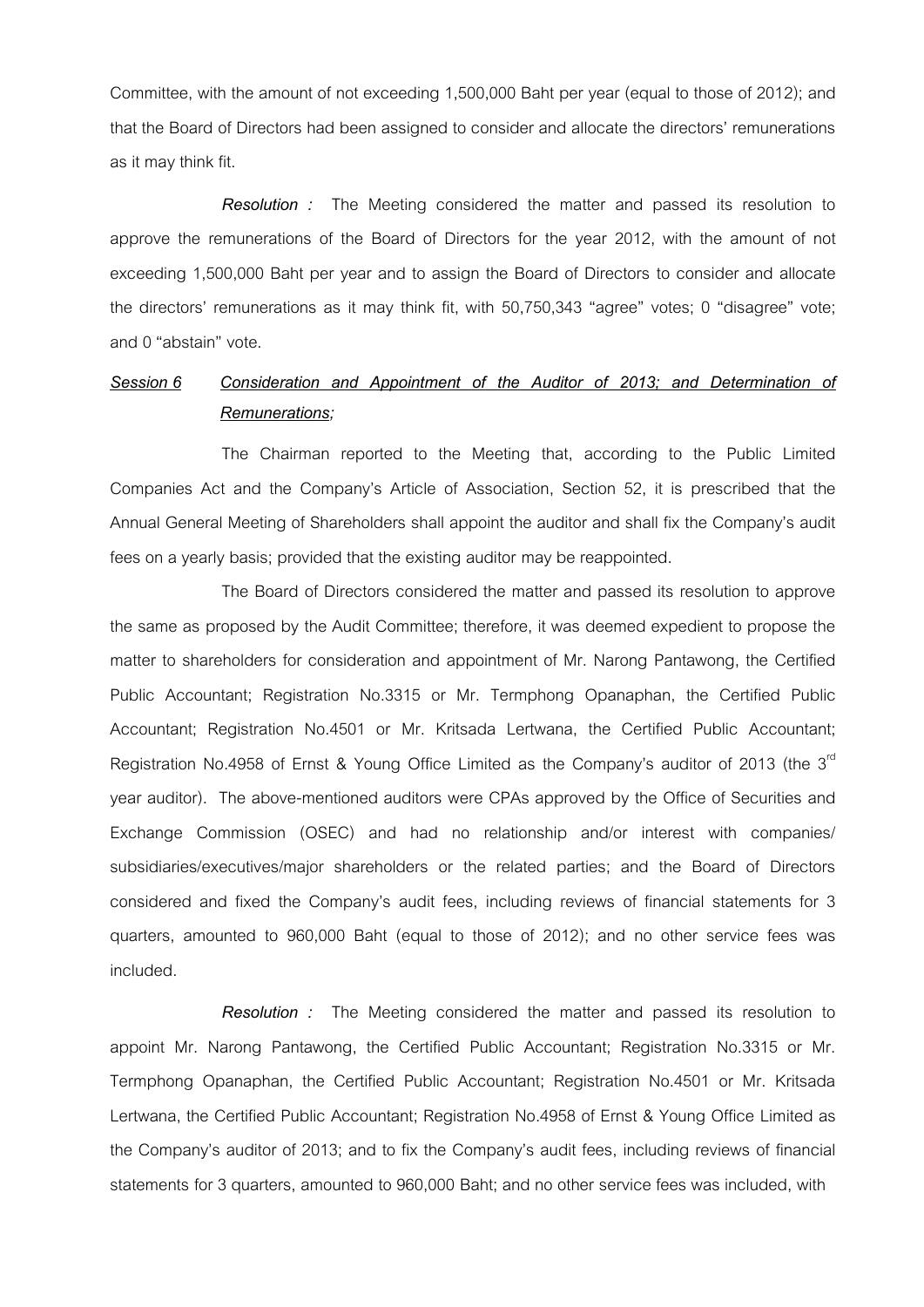Committee, with the amount of not exceeding 1,500,000 Baht per year (equal to those of 2012); and that the Board of Directors had been assigned to consider and allocate the directors' remunerations as it may think fit.

*Resolution :* The Meeting considered the matter and passed its resolution to approve the remunerations of the Board of Directors for the year 2012, with the amount of not exceeding 1,500,000 Baht per year and to assign the Board of Directors to consider and allocate the directors' remunerations as it may think fit, with 50,750,343 "agree" votes; 0 "disagree" vote; and 0 "abstain" vote.

## *Session 6 Consideration and Appointment of the Auditor of 2013; and Determination of Remunerations;*

The Chairman reported to the Meeting that, according to the Public Limited Companies Act and the Company's Article of Association, Section 52, it is prescribed that the Annual General Meeting of Shareholders shall appoint the auditor and shall fix the Company's audit fees on a yearly basis; provided that the existing auditor may be reappointed.

The Board of Directors considered the matter and passed its resolution to approve the same as proposed by the Audit Committee; therefore, it was deemed expedient to propose the matter to shareholders for consideration and appointment of Mr. Narong Pantawong, the Certified Public Accountant; Registration No.3315 or Mr. Termphong Opanaphan, the Certified Public Accountant; Registration No.4501 or Mr. Kritsada Lertwana, the Certified Public Accountant; Registration No.4958 of Ernst & Young Office Limited as the Company's auditor of 2013 (the 3<sup>rd</sup> year auditor). The above-mentioned auditors were CPAs approved by the Office of Securities and Exchange Commission (OSEC) and had no relationship and/or interest with companies/ subsidiaries/executives/major shareholders or the related parties; and the Board of Directors considered and fixed the Company's audit fees, including reviews of financial statements for 3 quarters, amounted to 960,000 Baht (equal to those of 2012); and no other service fees was included.

*Resolution :* The Meeting considered the matter and passed its resolution to appoint Mr. Narong Pantawong, the Certified Public Accountant; Registration No.3315 or Mr. Termphong Opanaphan, the Certified Public Accountant; Registration No.4501 or Mr. Kritsada Lertwana, the Certified Public Accountant; Registration No.4958 of Ernst & Young Office Limited as the Company's auditor of 2013; and to fix the Company's audit fees, including reviews of financial statements for 3 quarters, amounted to 960,000 Baht; and no other service fees was included, with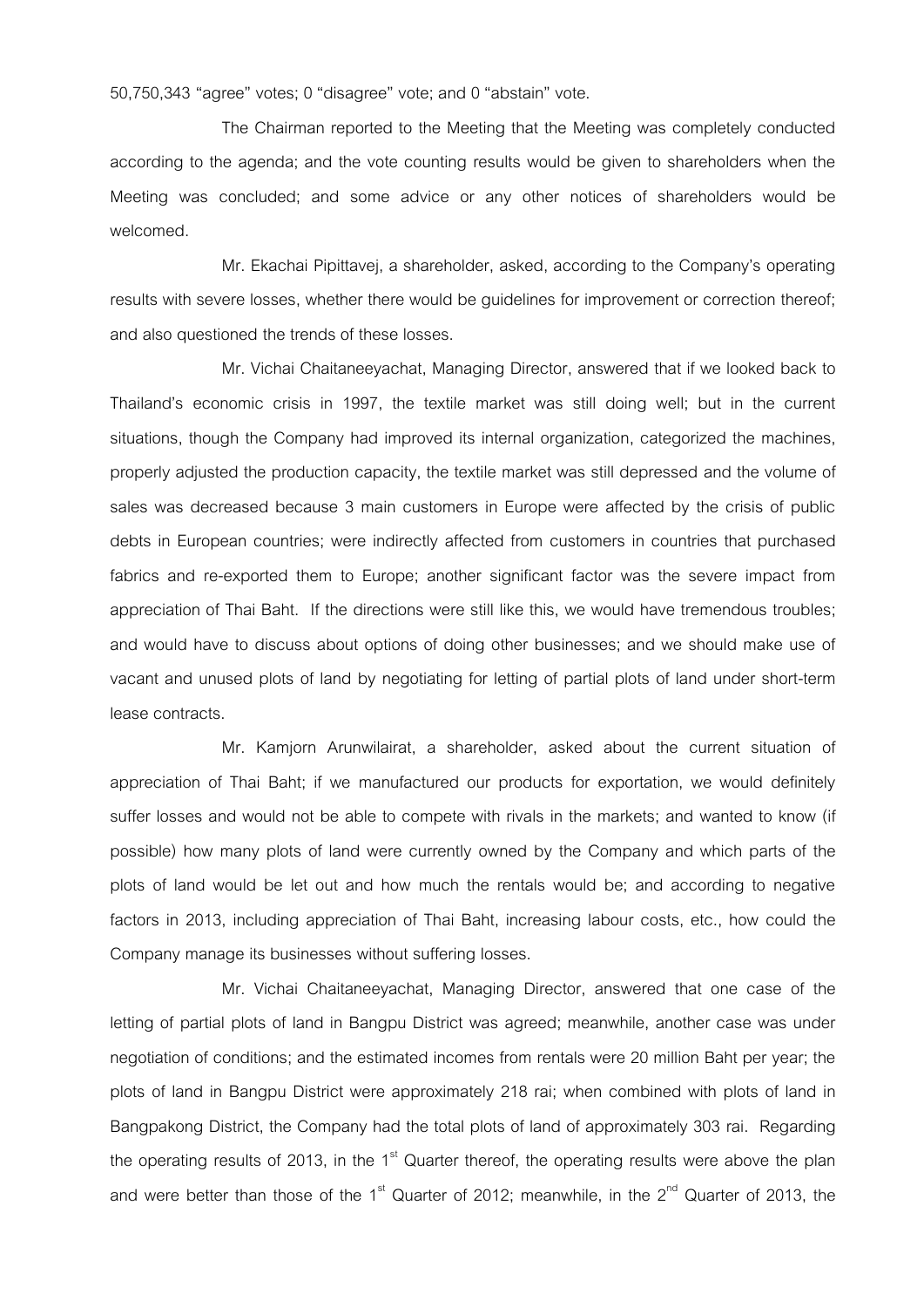50,750,343 "agree" votes; 0 "disagree" vote; and 0 "abstain" vote.

The Chairman reported to the Meeting that the Meeting was completely conducted according to the agenda; and the vote counting results would be given to shareholders when the Meeting was concluded; and some advice or any other notices of shareholders would be welcomed.

Mr. Ekachai Pipittavej, a shareholder, asked, according to the Company's operating results with severe losses, whether there would be guidelines for improvement or correction thereof; and also questioned the trends of these losses.

Mr. Vichai Chaitaneeyachat, Managing Director, answered that if we looked back to Thailand's economic crisis in 1997, the textile market was still doing well; but in the current situations, though the Company had improved its internal organization, categorized the machines, properly adjusted the production capacity, the textile market was still depressed and the volume of sales was decreased because 3 main customers in Europe were affected by the crisis of public debts in European countries; were indirectly affected from customers in countries that purchased fabrics and re-exported them to Europe; another significant factor was the severe impact from appreciation of Thai Baht. If the directions were still like this, we would have tremendous troubles; and would have to discuss about options of doing other businesses; and we should make use of vacant and unused plots of land by negotiating for letting of partial plots of land under short-term lease contracts.

Mr. Kamjorn Arunwilairat, a shareholder, asked about the current situation of appreciation of Thai Baht; if we manufactured our products for exportation, we would definitely suffer losses and would not be able to compete with rivals in the markets; and wanted to know (if possible) how many plots of land were currently owned by the Company and which parts of the plots of land would be let out and how much the rentals would be; and according to negative factors in 2013, including appreciation of Thai Baht, increasing labour costs, etc., how could the Company manage its businesses without suffering losses.

Mr. Vichai Chaitaneeyachat, Managing Director, answered that one case of the letting of partial plots of land in Bangpu District was agreed; meanwhile, another case was under negotiation of conditions; and the estimated incomes from rentals were 20 million Baht per year; the plots of land in Bangpu District were approximately 218 rai; when combined with plots of land in Bangpakong District, the Company had the total plots of land of approximately 303 rai. Regarding the operating results of 2013, in the 1 $\mathrm{s}^{\mathrm{st}}$  Quarter thereof, the operating results were above the plan and were better than those of the 1<sup>st</sup> Quarter of 2012; meanwhile, in the 2<sup>nd</sup> Quarter of 2013, the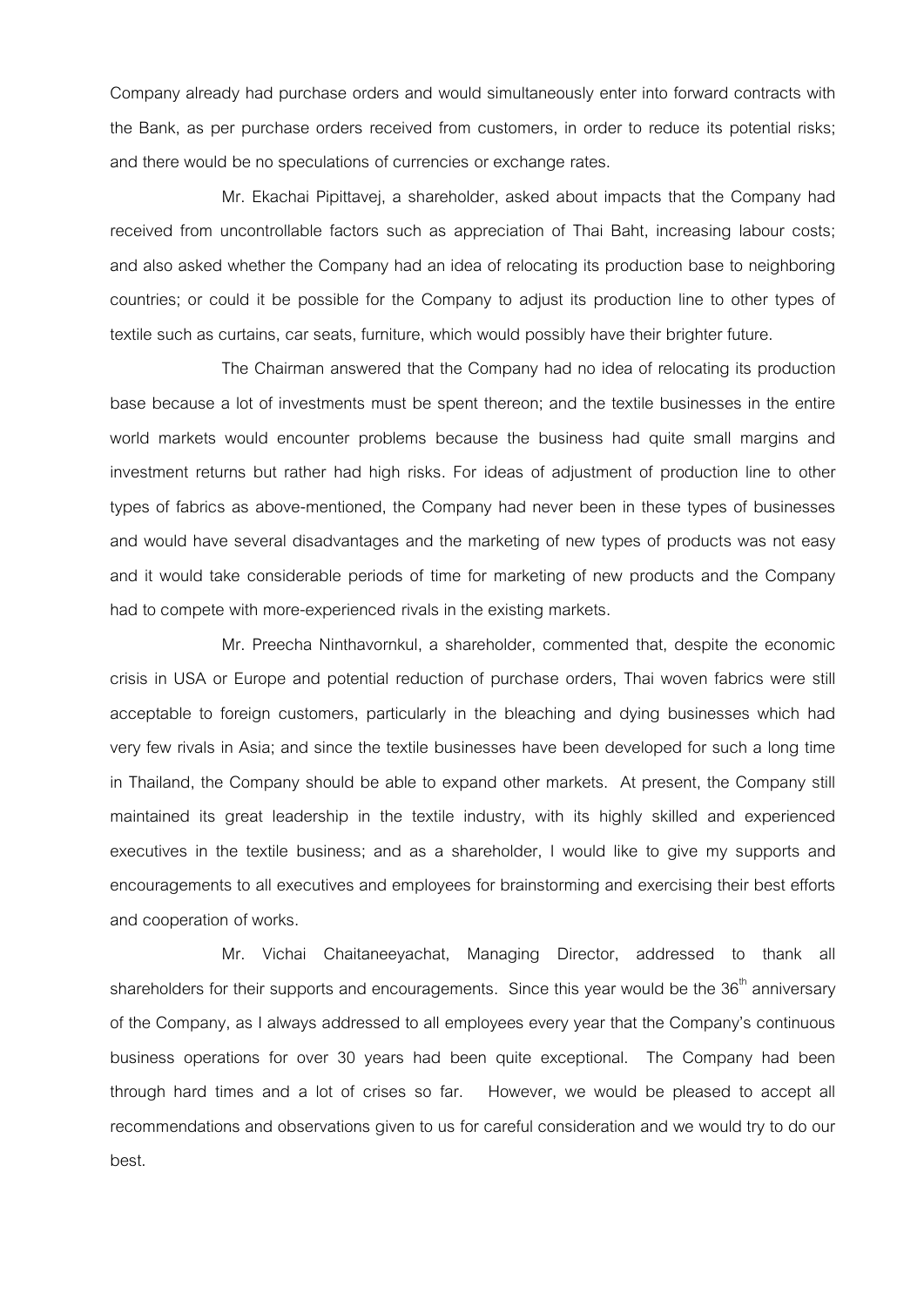Company already had purchase orders and would simultaneously enter into forward contracts with the Bank, as per purchase orders received from customers, in order to reduce its potential risks; and there would be no speculations of currencies or exchange rates.

Mr. Ekachai Pipittavej, a shareholder, asked about impacts that the Company had received from uncontrollable factors such as appreciation of Thai Baht, increasing labour costs; and also asked whether the Company had an idea of relocating its production base to neighboring countries; or could it be possible for the Company to adjust its production line to other types of textile such as curtains, car seats, furniture, which would possibly have their brighter future.

The Chairman answered that the Company had no idea of relocating its production base because a lot of investments must be spent thereon; and the textile businesses in the entire world markets would encounter problems because the business had quite small margins and investment returns but rather had high risks. For ideas of adjustment of production line to other types of fabrics as above-mentioned, the Company had never been in these types of businesses and would have several disadvantages and the marketing of new types of products was not easy and it would take considerable periods of time for marketing of new products and the Company had to compete with more-experienced rivals in the existing markets.

Mr. Preecha Ninthavornkul, a shareholder, commented that, despite the economic crisis in USA or Europe and potential reduction of purchase orders, Thai woven fabrics were still acceptable to foreign customers, particularly in the bleaching and dying businesses which had very few rivals in Asia; and since the textile businesses have been developed for such a long time in Thailand, the Company should be able to expand other markets. At present, the Company still maintained its great leadership in the textile industry, with its highly skilled and experienced executives in the textile business; and as a shareholder, I would like to give my supports and encouragements to all executives and employees for brainstorming and exercising their best efforts and cooperation of works.

Mr. Vichai Chaitaneeyachat, Managing Director, addressed to thank all shareholders for their supports and encouragements. Since this year would be the  $36<sup>th</sup>$  anniversary of the Company, as I always addressed to all employees every year that the Company's continuous business operations for over 30 years had been quite exceptional. The Company had been through hard times and a lot of crises so far. However, we would be pleased to accept all recommendations and observations given to us for careful consideration and we would try to do our best.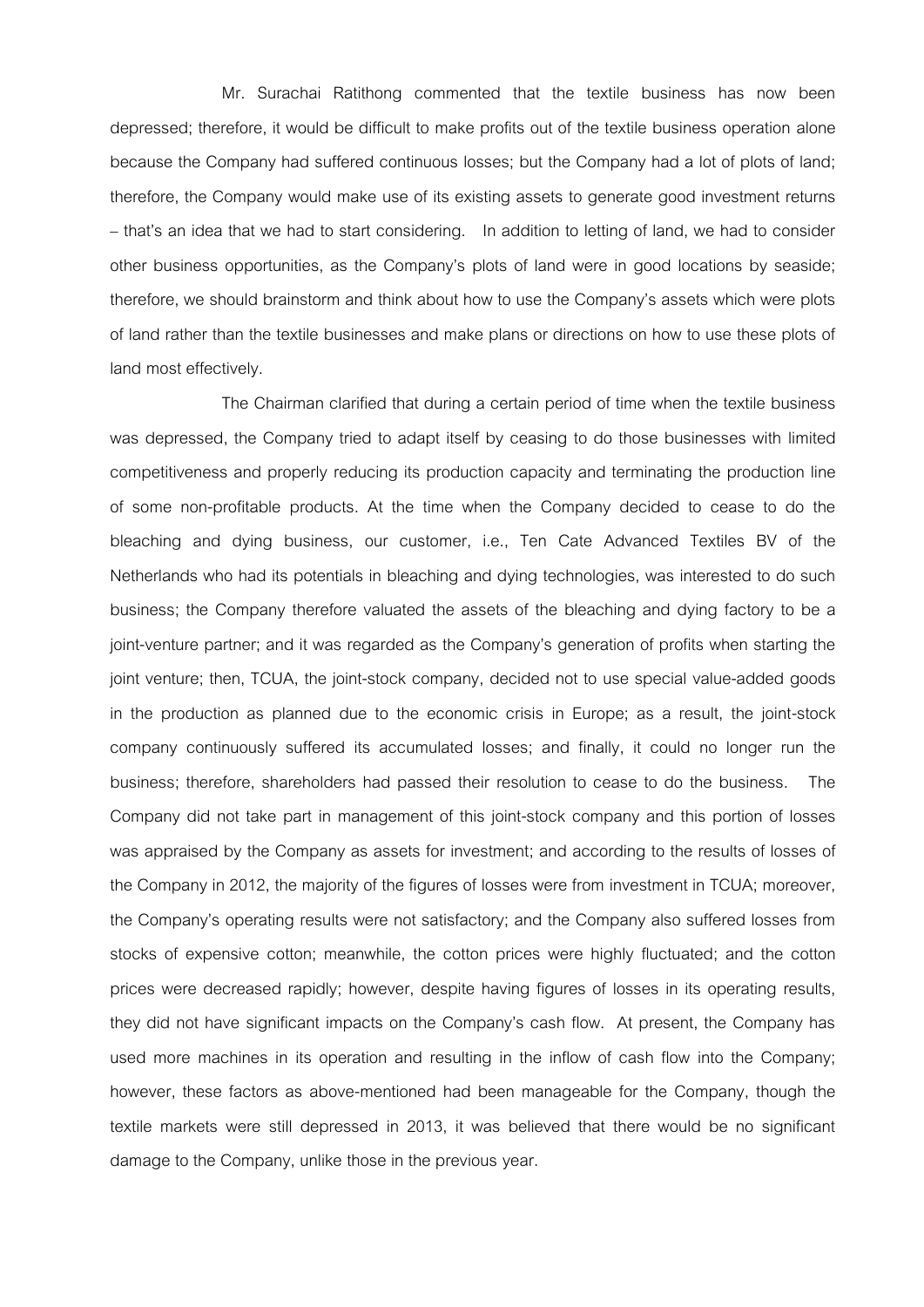Mr. Surachai Ratithong commented that the textile business has now been depressed; therefore, it would be difficult to make profits out of the textile business operation alone because the Company had suffered continuous losses; but the Company had a lot of plots of land; therefore, the Company would make use of its existing assets to generate good investment returns – that's an idea that we had to start considering. In addition to letting of land, we had to consider other business opportunities, as the Company's plots of land were in good locations by seaside; therefore, we should brainstorm and think about how to use the Company's assets which were plots of land rather than the textile businesses and make plans or directions on how to use these plots of land most effectively.

The Chairman clarified that during a certain period of time when the textile business was depressed, the Company tried to adapt itself by ceasing to do those businesses with limited competitiveness and properly reducing its production capacity and terminating the production line of some non-profitable products. At the time when the Company decided to cease to do the bleaching and dying business, our customer, i.e., Ten Cate Advanced Textiles BV of the Netherlands who had its potentials in bleaching and dying technologies, was interested to do such business; the Company therefore valuated the assets of the bleaching and dying factory to be a joint-venture partner; and it was regarded as the Company's generation of profits when starting the joint venture; then, TCUA, the joint-stock company, decided not to use special value-added goods in the production as planned due to the economic crisis in Europe; as a result, the joint-stock company continuously suffered its accumulated losses; and finally, it could no longer run the business; therefore, shareholders had passed their resolution to cease to do the business. The Company did not take part in management of this joint-stock company and this portion of losses was appraised by the Company as assets for investment; and according to the results of losses of the Company in 2012, the majority of the figures of losses were from investment in TCUA; moreover, the Company's operating results were not satisfactory; and the Company also suffered losses from stocks of expensive cotton; meanwhile, the cotton prices were highly fluctuated; and the cotton prices were decreased rapidly; however, despite having figures of losses in its operating results, they did not have significant impacts on the Company's cash flow. At present, the Company has used more machines in its operation and resulting in the inflow of cash flow into the Company; however, these factors as above-mentioned had been manageable for the Company, though the textile markets were still depressed in 2013, it was believed that there would be no significant damage to the Company, unlike those in the previous year.